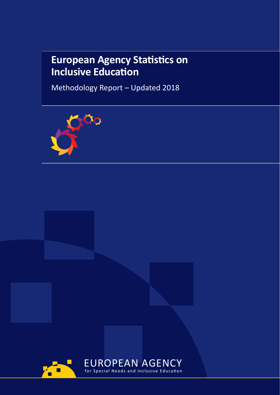# **European Agency Statistics on Inclusive Education**

Methodology Report – Updated 2018

EUROPEAN AGENCY for Special Needs and Inclusive Education



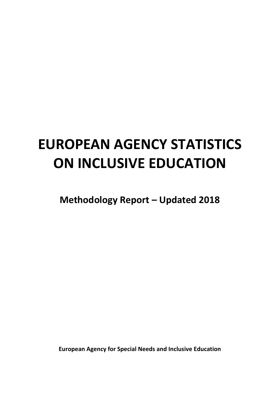# **EUROPEAN AGENCY STATISTICS ON INCLUSIVE EDUCATION**

**Methodology Report – Updated 2018**

**European Agency for Special Needs and Inclusive Education**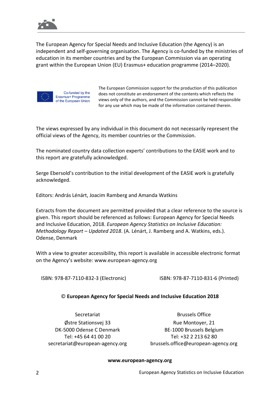

The European Agency for Special Needs and Inclusive Education (the Agency) is an independent and self-governing organisation. The Agency is co-funded by the ministries of education in its member countries and by the European Commission via an operating grant within the European Union (EU) Erasmus+ education programme (2014–2020).



Co-funded by the Erasmus+ Programme of the European Union The European Commission support for the production of this publication does not constitute an endorsement of the contents which reflects the views only of the authors, and the Commission cannot be held responsible for any use which may be made of the information contained therein.

The views expressed by any individual in this document do not necessarily represent the official views of the Agency, its member countries or the Commission.

The nominated country data collection experts' contributions to the EASIE work and to this report are gratefully acknowledged.

Serge Ebersold's contribution to the initial development of the EASIE work is gratefully acknowledged.

Editors: András Lénárt, Joacim Ramberg and Amanda Watkins

Extracts from the document are permitted provided that a clear reference to the source is given. This report should be referenced as follows: European Agency for Special Needs and Inclusive Education, 2018. *European Agency Statistics on Inclusive Education: Methodology Report – Updated 2018*. (A. Lénárt, J. Ramberg and A. Watkins, eds.). Odense, Denmark

With a view to greater accessibility, this report is available in accessible electronic format on the Agency's website: [www.european-agency.org](http://www.european-agency.org/)

ISBN: 978-87-7110-832-3 (Electronic) ISBN: 978-87-7110-831-6 (Printed)

#### © **European Agency for Special Needs and Inclusive Education 2018**

Secretariat Østre Stationsvej 33 DK-5000 Odense C Denmark Tel: +45 64 41 00 20 [secretariat@european-agency.org](mailto:secretariat@european-agency.org)

Brussels Office Rue Montoyer, 21 BE-1000 Brussels Belgium Tel: +32 2 213 62 80 [brussels.office@european-agency.org](mailto:brussels.office@european-agency.org)

**[www.european-agency.org](http://www.european-agency.org/)**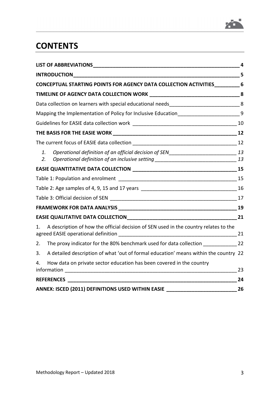

# **CONTENTS**

|                                                                                                                | 4                       |
|----------------------------------------------------------------------------------------------------------------|-------------------------|
| INTRODUCTIONNNING AND AN EXAMPLE A CONTROLLER TO A CONTROL CONTROL CONTROL CONTROL CONTROL CONTROL CONTROL CON | $\overline{\mathbf{5}}$ |
| CONCEPTUAL STARTING POINTS FOR AGENCY DATA COLLECTION ACTIVITIES 6                                             |                         |
|                                                                                                                |                         |
| Data collection on learners with special educational needs_______________________________8                     |                         |
| Mapping the Implementation of Policy for Inclusive Education______________________9                            |                         |
|                                                                                                                |                         |
|                                                                                                                | 12                      |
|                                                                                                                |                         |
| 1.<br>Operational definition of an inclusive setting __________________________________ 13<br>2.               |                         |
|                                                                                                                |                         |
|                                                                                                                |                         |
|                                                                                                                |                         |
|                                                                                                                |                         |
|                                                                                                                | 19                      |
|                                                                                                                | 21                      |
| A description of how the official decision of SEN used in the country relates to the<br>1.                     | 21                      |
| The proxy indicator for the 80% benchmark used for data collection ______________ 22<br>2.                     |                         |
| A detailed description of what 'out of formal education' means within the country 22<br>3.                     |                         |
| How data on private sector education has been covered in the country<br>4.                                     | 23                      |
| <b>REFERENCES</b>                                                                                              | 24                      |
| ANNEX: ISCED (2011) DEFINITIONS USED WITHIN EASIE                                                              | 26                      |
|                                                                                                                |                         |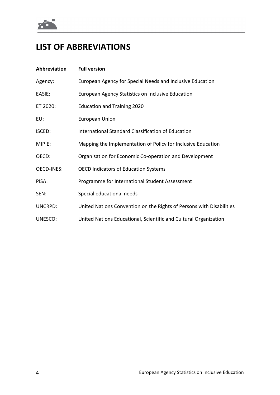

## **LIST OF ABBREVIATIONS**

| <b>Abbreviation</b> | <b>Full version</b>                                                  |
|---------------------|----------------------------------------------------------------------|
| Agency:             | European Agency for Special Needs and Inclusive Education            |
| EASIE:              | European Agency Statistics on Inclusive Education                    |
| ET 2020:            | <b>Education and Training 2020</b>                                   |
| EU:                 | <b>European Union</b>                                                |
| ISCED:              | International Standard Classification of Education                   |
| MIPIE:              | Mapping the Implementation of Policy for Inclusive Education         |
| OECD:               | Organisation for Economic Co-operation and Development               |
| OECD-INES:          | <b>OECD Indicators of Education Systems</b>                          |
| PISA:               | Programme for International Student Assessment                       |
| SEN:                | Special educational needs                                            |
| <b>UNCRPD:</b>      | United Nations Convention on the Rights of Persons with Disabilities |
| UNESCO:             | United Nations Educational, Scientific and Cultural Organization     |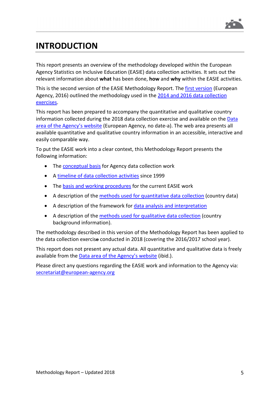

### **INTRODUCTION**

This report presents an overview of the methodology developed within the European Agency Statistics on Inclusive Education (EASIE) data collection activities. It sets out the relevant information about **what** has been done, **how** and **why** within the EASIE activities.

This is the second version of the EASIE Methodology Report. The *first version* (European Agency, 2016) outlined the methodology used in the [2014 and 2016 data collection](https://www.european-agency.org/data)  [exercises.](https://www.european-agency.org/data)

This report has been prepared to accompany the quantitative and qualitative country information collected during the 2018 data collection exercise and available on the [Data](https://www.european-agency.org/data)  [area of the Agency's website](https://www.european-agency.org/data) (European Agency, no date-a). The web area presents all available quantitative and qualitative country information in an accessible, interactive and easily comparable way.

To put the EASIE work into a clear context, this Methodology Report presents the following information:

- The [conceptual basis](#page-7-0) for Agency data collection work
- A [timeline of data collection activities](#page-9-0) since 1999
- The [basis and working procedures](#page-13-0) for the current EASIE work
- A description of the [methods used for quantitative data collection](#page-16-0) (country data)
- A description of the framework for [data analysis and interpretation](#page-20-0)
- A description of the [methods used for qualitative data collection](#page-22-0) (country background information).

The methodology described in this version of the Methodology Report has been applied to the data collection exercise conducted in 2018 (covering the 2016/2017 school year).

This report does not present any actual data. All quantitative and qualitative data is freely available from the [Data area of the Agency's website](https://www.european-agency.org/data) (ibid.).

Please direct any questions regarding the EASIE work and information to the Agency via: [secretariat@european-agency.org](mailto:secretariat@european-agency.org)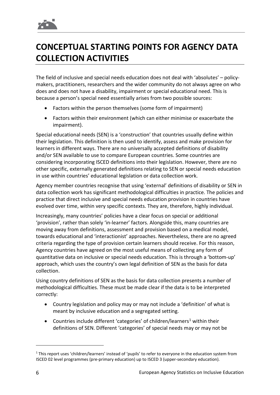# <span id="page-7-0"></span>**CONCEPTUAL STARTING POINTS FOR AGENCY DATA COLLECTION ACTIVITIES**

The field of inclusive and special needs education does not deal with 'absolutes' – policymakers, practitioners, researchers and the wider community do not always agree on who does and does not have a disability, impairment or special educational need. This is because a person's special need essentially arises from two possible sources:

- Factors within the person themselves (some form of impairment)
- Factors within their environment (which can either minimise or exacerbate the impairment).

Special educational needs (SEN) is a 'construction' that countries usually define within their legislation. This definition is then used to identify, assess and make provision for learners in different ways. There are no universally accepted definitions of disability and/or SEN available to use to compare European countries. Some countries are considering incorporating ISCED definitions into their legislation. However, there are no other specific, externally generated definitions relating to SEN or special needs education in use within countries' educational legislation or data collection work.

Agency member countries recognise that using 'external' definitions of disability or SEN in data collection work has significant methodological difficulties in practice. The policies and practice that direct inclusive and special needs education provision in countries have evolved over time, within very specific contexts. They are, therefore, highly individual.

Increasingly, many countries' policies have a clear focus on special or additional 'provision', rather than solely 'in-learner' factors. Alongside this, many countries are moving away from definitions, assessment and provision based on a medical model, towards educational and 'interactionist' approaches. Nevertheless, there are no agreed criteria regarding the type of provision certain learners should receive. For this reason, Agency countries have agreed on the most useful means of collecting any form of quantitative data on inclusive or special needs education. This is through a 'bottom-up' approach, which uses the country's own legal definition of SEN as the basis for data collection.

Using country definitions of SEN as the basis for data collection presents a number of methodological difficulties. These must be made clear if the data is to be interpreted correctly:

- Country legislation and policy may or may not include a 'definition' of what is meant by inclusive education and a segregated setting.
- Countries include different 'categories' of children/learners<sup>1</sup> within their definitions of SEN. Different 'categories' of special needs may or may not be

 $\overline{a}$ 

<span id="page-7-1"></span><sup>1</sup> This report uses 'children/learners' instead of 'pupils' to refer to everyone in the education system from ISCED 02 level programmes (pre-primary education) up to ISCED 3 (upper-secondary education).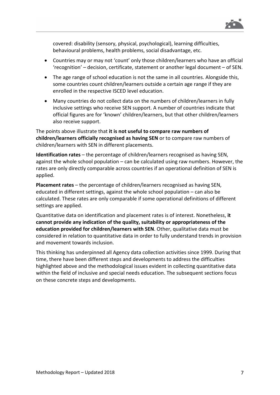

covered: disability (sensory, physical, psychological), learning difficulties, behavioural problems, health problems, social disadvantage, etc.

- Countries may or may not 'count' only those children/learners who have an official 'recognition' – decision, certificate, statement or another legal document – of SEN.
- The age range of school education is not the same in all countries. Alongside this, some countries count children/learners outside a certain age range if they are enrolled in the respective ISCED level education.
- Many countries do not collect data on the numbers of children/learners in fully inclusive settings who receive SEN support. A number of countries indicate that official figures are for 'known' children/learners, but that other children/learners also receive support.

The points above illustrate that **it is not useful to compare raw numbers of children/learners officially recognised as having SEN** or to compare raw numbers of children/learners with SEN in different placements.

**Identification rates** – the percentage of children/learners recognised as having SEN, against the whole school population – can be calculated using raw numbers. However, the rates are only directly comparable across countries if an operational definition of SEN is applied.

**Placement rates** – the percentage of children/learners recognised as having SEN, educated in different settings, against the whole school population – can also be calculated. These rates are only comparable if some operational definitions of different settings are applied.

Quantitative data on identification and placement rates is of interest. Nonetheless, **it cannot provide any indication of the quality, suitability or appropriateness of the education provided for children/learners with SEN**. Other, qualitative data must be considered in relation to quantitative data in order to fully understand trends in provision and movement towards inclusion.

This thinking has underpinned all Agency data collection activities since 1999. During that time, there have been different steps and developments to address the difficulties highlighted above and the methodological issues evident in collecting quantitative data within the field of inclusive and special needs education. The subsequent sections focus on these concrete steps and developments.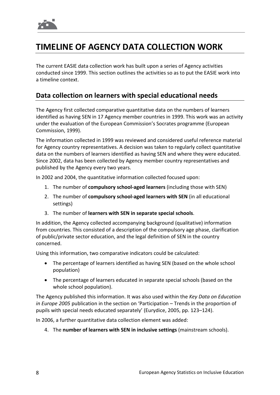

## <span id="page-9-0"></span>**TIMELINE OF AGENCY DATA COLLECTION WORK**

The current EASIE data collection work has built upon a series of Agency activities conducted since 1999. This section outlines the activities so as to put the EASIE work into a timeline context.

#### **Data collection on learners with special educational needs**

The Agency first collected comparative quantitative data on the numbers of learners identified as having SEN in 17 Agency member countries in 1999. This work was an activity under the evaluation of the European Commission's Socrates programme (European Commission, 1999).

The information collected in 1999 was reviewed and considered useful reference material for Agency country representatives. A decision was taken to regularly collect quantitative data on the numbers of learners identified as having SEN and where they were educated. Since 2002, data has been collected by Agency member country representatives and published by the Agency every two years.

In 2002 and 2004, the quantitative information collected focused upon:

- 1. The number of **compulsory school-aged learners** (including those with SEN)
- 2. The number of **compulsory school-aged learners with SEN** (in all educational settings)
- 3. The number of **learners with SEN in separate special schools**.

In addition, the Agency collected accompanying background (qualitative) information from countries. This consisted of a description of the compulsory age phase, clarification of public/private sector education, and the legal definition of SEN in the country concerned.

Using this information, two comparative indicators could be calculated:

- The percentage of learners identified as having SEN (based on the whole school population)
- The percentage of learners educated in separate special schools (based on the whole school population).

The Agency published this information. It was also used within the *Key Data on Education in Europe 2005* publication in the section on 'Participation – Trends in the proportion of pupils with special needs educated separately' (Eurydice, 2005, pp. 123–124).

In 2006, a further quantitative data collection element was added:

4. The **number of learners with SEN in inclusive settings** (mainstream schools).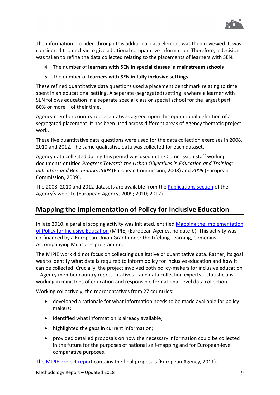

The information provided through this additional data element was then reviewed. It was considered too unclear to give additional comparative information. Therefore, a decision was taken to refine the data collected relating to the placements of learners with SEN:

- 4. The number of **learners with SEN in special classes in mainstream schools**
- 5. The number of **learners with SEN in fully inclusive settings**.

These refined quantitative data questions used a placement benchmark relating to time spent in an educational setting. A separate (segregated) setting is where a learner with SEN follows education in a separate special class or special school for the largest part – 80% or more – of their time.

Agency member country representatives agreed upon this operational definition of a segregated placement. It has been used across different areas of Agency thematic project work.

These five quantitative data questions were used for the data collection exercises in 2008, 2010 and 2012. The same qualitative data was collected for each dataset.

Agency data collected during this period was used in the Commission staff working documents entitled *Progress Towards the Lisbon Objectives in Education and Training: Indicators and Benchmarks 2008* (European Commission, 2008) and *2009* (European Commission, 2009).

The 2008, 2010 and 2012 datasets are available from the [Publications section](https://www.european-agency.org/resources/publications?theme%5B168%5D=168&type%5B255%5D=255) of the Agency's website (European Agency, 2009; 2010; 2012).

### **Mapping the Implementation of Policy for Inclusive Education**

In late 2010, a parallel scoping activity was initiated, entitled [Mapping the Implementation](https://www.european-agency.org/agency-projects/mapping-the-implementation-of-policy-for-inclusive-education)  [of Policy for Inclusive Education](https://www.european-agency.org/agency-projects/mapping-the-implementation-of-policy-for-inclusive-education) (MIPIE) (European Agency, no date-b). This activity was co-financed by a European Union Grant under the Lifelong Learning, Comenius Accompanying Measures programme.

The MIPIE work did not focus on collecting qualitative or quantitative data. Rather, its goal was to identify **what** data is required to inform policy for inclusive education and **how** it can be collected. Crucially, the project involved both policy-makers for inclusive education – Agency member country representatives – and data collection experts – statisticians working in ministries of education and responsible for national-level data collection.

Working collectively, the representatives from 27 countries:

- developed a rationale for what information needs to be made available for policymakers;
- identified what information is already available;
- highlighted the gaps in current information;
- provided detailed proposals on how the necessary information could be collected in the future for the purposes of national self-mapping and for European-level comparative purposes.

The [MIPIE project report](https://www.european-agency.org/resources/publications/mapping-implementation-policy-inclusive-education-exploration-challenges-and) contains the final proposals [\(European](https://www.european-agency.org/publications/ereports/mipie-report/mipie-report) Agency, 2011).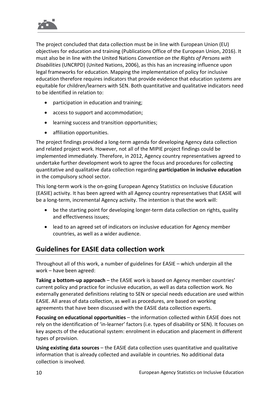

The project concluded that data collection must be in line with European Union (EU) objectives for education and training (Publications Office of the European Union, 2016). It must also be in line with the United Nations *Convention on the Rights of Persons with Disabilities* (UNCRPD) (United Nations, 2006), as this has an increasing influence upon legal frameworks for education. Mapping the implementation of policy for inclusive education therefore requires indicators that provide evidence that education systems are equitable for children/learners with SEN. Both quantitative and qualitative indicators need to be identified in relation to:

- participation in education and training;
- access to support and accommodation;
- learning success and transition opportunities;
- affiliation opportunities.

The project findings provided a long-term agenda for developing Agency data collection and related project work. However, not all of the MIPIE project findings could be implemented immediately. Therefore, in 2012, Agency country representatives agreed to undertake further development work to agree the focus and procedures for collecting quantitative and qualitative data collection regarding **participation in inclusive education** in the compulsory school sector.

This long-term work is the on-going European Agency Statistics on Inclusive Education (EASIE) activity. It has been agreed with all Agency country representatives that EASIE will be a long-term, incremental Agency activity. The intention is that the work will:

- be the starting point for developing longer-term data collection on rights, quality and effectiveness issues;
- lead to an agreed set of indicators on inclusive education for Agency member countries, as well as a wider audience.

#### **Guidelines for EASIE data collection work**

Throughout all of this work, a number of guidelines for EASIE – which underpin all the work – have been agreed:

**Taking a bottom-up approach** – the EASIE work is based on Agency member countries' current policy and practice for inclusive education, as well as data collection work. No externally generated definitions relating to SEN or special needs education are used within EASIE. All areas of data collection, as well as procedures, are based on working agreements that have been discussed with the EASIE data collection experts.

**Focusing on educational opportunities** – the information collected within EASIE does not rely on the identification of 'in-learner' factors (i.e. types of disability or SEN). It focuses on key aspects of the educational system: enrolment in education and placement in different types of provision.

**Using existing data sources** – the EASIE data collection uses quantitative and qualitative information that is already collected and available in countries. No additional data collection is involved.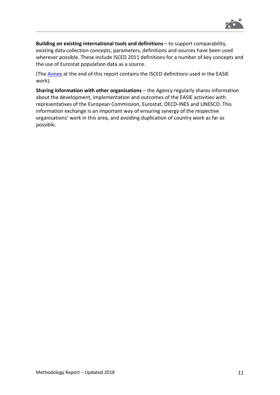

**Building on existing international tools and definitions** – to support comparability, existing data collection concepts, parameters, definitions and sources have been used wherever possible. These include ISCED 2011 definitions for a number of key concepts and the use of Eurostat population data as a source.

(The [Annex](#page-27-0) at the end of this report contains the ISCED definitions used in the EASIE work).

**Sharing information with other organisations** – the Agency regularly shares information about the development, implementation and outcomes of the EASIE activities with representatives of the European Commission, Eurostat, OECD-INES and UNESCO. This information exchange is an important way of ensuring synergy of the respective organisations' work in this area, and avoiding duplication of country work as far as possible.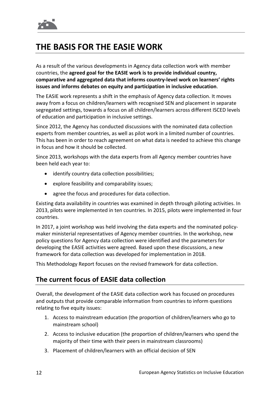

## <span id="page-13-0"></span>**THE BASIS FOR THE EASIE WORK**

As a result of the various developments in Agency data collection work with member countries, the **agreed goal for the EASIE work is to provide individual country, comparative and aggregated data that informs country-level work on learners' rights issues and informs debates on equity and participation in inclusive education**.

The EASIE work represents a shift in the emphasis of Agency data collection. It moves away from a focus on children/learners with recognised SEN and placement in separate segregated settings, towards a focus on all children/learners across different ISCED levels of education and participation in inclusive settings.

Since 2012, the Agency has conducted discussions with the nominated data collection experts from member countries, as well as pilot work in a limited number of countries. This has been in order to reach agreement on what data is needed to achieve this change in focus and how it should be collected.

Since 2013, workshops with the data experts from all Agency member countries have been held each year to:

- identify country data collection possibilities;
- explore feasibility and comparability issues;
- agree the focus and procedures for data collection.

Existing data availability in countries was examined in depth through piloting activities. In 2013, pilots were implemented in ten countries. In 2015, pilots were implemented in four countries.

In 2017, a joint workshop was held involving the data experts and the nominated policymaker ministerial representatives of Agency member countries. In the workshop, new policy questions for Agency data collection were identified and the parameters for developing the EASIE activities were agreed. Based upon these discussions, a new framework for data collection was developed for implementation in 2018.

This Methodology Report focuses on the revised framework for data collection.

#### **The current focus of EASIE data collection**

Overall, the development of the EASIE data collection work has focused on procedures and outputs that provide comparable information from countries to inform questions relating to five equity issues:

- 1. Access to mainstream education (the proportion of children/learners who go to mainstream school)
- 2. Access to inclusive education (the proportion of children/learners who spend the majority of their time with their peers in mainstream classrooms)
- 3. Placement of children/learners with an official decision of SEN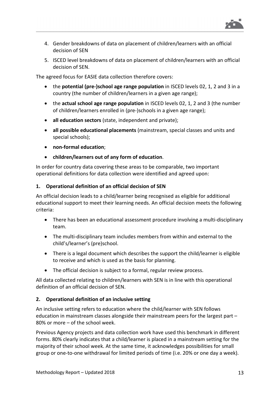

- 4. Gender breakdowns of data on placement of children/learners with an official decision of SEN
- 5. ISCED level breakdowns of data on placement of children/learners with an official decision of SEN.

The agreed focus for EASIE data collection therefore covers:

- the **potential (pre-)school age range population** in ISCED levels 02, 1, 2 and 3 in a country (the number of children/learners in a given age range);
- the **actual school age range population** in ISCED levels 02, 1, 2 and 3 (the number of children/learners enrolled in (pre-)schools in a given age range);
- **all education sectors** (state, independent and private);
- **all possible educational placements** (mainstream, special classes and units and special schools);
- **non-formal education**;
- **children/learners out of any form of education**.

In order for country data covering these areas to be comparable, two important operational definitions for data collection were identified and agreed upon:

#### **1. Operational definition of an official decision of SEN**

An official decision leads to a child/learner being recognised as eligible for additional educational support to meet their learning needs. An official decision meets the following criteria:

- There has been an educational assessment procedure involving a multi-disciplinary team.
- The multi-disciplinary team includes members from within and external to the child's/learner's (pre)school.
- There is a legal document which describes the support the child/learner is eligible to receive and which is used as the basis for planning.
- The official decision is subject to a formal, regular review process.

All data collected relating to children/learners with SEN is in line with this operational definition of an official decision of SEN.

#### **2. Operational definition of an inclusive setting**

An inclusive setting refers to education where the child/learner with SEN follows education in mainstream classes alongside their mainstream peers for the largest part – 80% or more – of the school week.

Previous Agency projects and data collection work have used this benchmark in different forms. 80% clearly indicates that a child/learner is placed in a mainstream setting for the majority of their school week. At the same time, it acknowledges possibilities for small group or one-to-one withdrawal for limited periods of time (i.e. 20% or one day a week).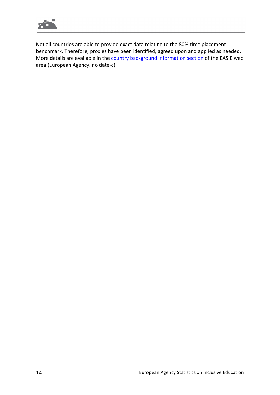

Not all countries are able to provide exact data relating to the 80% time placement benchmark. Therefore, proxies have been identified, agreed upon and applied as needed. More details are available in the [country background information section](https://www.european-agency.org/data/data-tables-background-information) of the EASIE web area (European Agency, no date-c).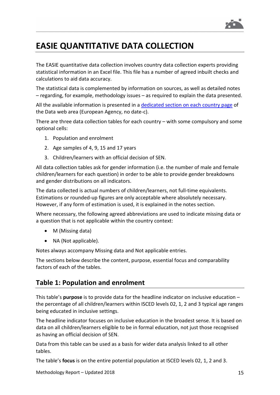

### <span id="page-16-0"></span>**EASIE QUANTITATIVE DATA COLLECTION**

The EASIE quantitative data collection involves country data collection experts providing statistical information in an Excel file. This file has a number of agreed inbuilt checks and calculations to aid data accuracy.

The statistical data is complemented by information on sources, as well as detailed notes – regarding, for example, methodology issues – as required to explain the data presented.

All the available information is presented in a [dedicated section on each country page](http://www.european-agency.org/data/country-data-and-background-information) of the Data web area [\(European](https://www.european-agency.org/data/country-data-and-background-information) Agency, no date-c).

There are three data collection tables for each country – with some compulsory and some optional cells:

- 1. Population and enrolment
- 2. Age samples of 4, 9, 15 and 17 years
- 3. Children/learners with an official decision of SEN.

All data collection tables ask for gender information (i.e. the number of male and female children/learners for each question) in order to be able to provide gender breakdowns and gender distributions on all indicators.

The data collected is actual numbers of children/learners, not full-time equivalents. Estimations or rounded-up figures are only acceptable where absolutely necessary. However, if any form of estimation is used, it is explained in the notes section.

Where necessary, the following agreed abbreviations are used to indicate missing data or a question that is not applicable within the country context:

- M (Missing data)
- NA (Not applicable).

Notes always accompany Missing data and Not applicable entries.

The sections below describe the content, purpose, essential focus and comparability factors of each of the tables.

#### **Table 1: Population and enrolment**

This table's **purpose** is to provide data for the headline indicator on inclusive education – the percentage of all children/learners within ISCED levels 02, 1, 2 and 3 typical age ranges being educated in inclusive settings.

The headline indicator focuses on inclusive education in the broadest sense. It is based on data on all children/learners eligible to be in formal education, not just those recognised as having an official decision of SEN.

Data from this table can be used as a basis for wider data analysis linked to all other tables.

The table's **focus** is on the entire potential population at ISCED levels 02, 1, 2 and 3.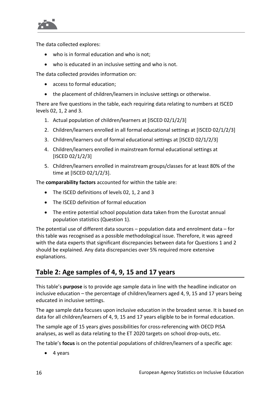

The data collected explores:

- who is in formal education and who is not;
- who is educated in an inclusive setting and who is not.

The data collected provides information on:

- access to formal education;
- the placement of children/learners in inclusive settings or otherwise.

There are five questions in the table, each requiring data relating to numbers at ISCED levels 02, 1, 2 and 3.

- 1. Actual population of children/learners at [ISCED 02/1/2/3]
- 2. Children/learners enrolled in all formal educational settings at [ISCED 02/1/2/3]
- 3. Children/learners out of formal educational settings at [ISCED 02/1/2/3]
- 4. Children/learners enrolled in mainstream formal educational settings at [ISCED 02/1/2/3]
- 5. Children/learners enrolled in mainstream groups/classes for at least 80% of the time at [ISCED 02/1/2/3].

The **comparability factors** accounted for within the table are:

- The ISCED definitions of levels 02, 1, 2 and 3
- The ISCED definition of formal education
- The entire potential school population data taken from the Eurostat annual population statistics (Question 1).

The potential use of different data sources – population data and enrolment data – for this table was recognised as a possible methodological issue. Therefore, it was agreed with the data experts that significant discrepancies between data for Questions 1 and 2 should be explained. Any data discrepancies over 5% required more extensive explanations.

#### **Table 2: Age samples of 4, 9, 15 and 17 years**

This table's **purpose** is to provide age sample data in line with the headline indicator on inclusive education – the percentage of children/learners aged 4, 9, 15 and 17 years being educated in inclusive settings.

The age sample data focuses upon inclusive education in the broadest sense. It is based on data for all children/learners of 4, 9, 15 and 17 years eligible to be in formal education.

The sample age of 15 years gives possibilities for cross-referencing with OECD PISA analyses, as well as data relating to the ET 2020 targets on school drop-outs, etc.

The table's **focus** is on the potential populations of children/learners of a specific age:

• 4 years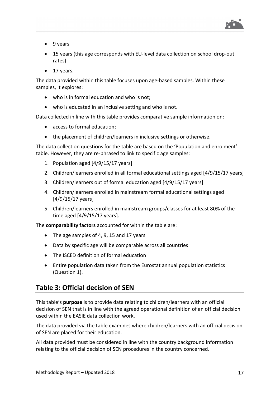

- 9 years
- 15 years (this age corresponds with EU-level data collection on school drop-out rates)
- 17 years.

The data provided within this table focuses upon age-based samples. Within these samples, it explores:

- who is in formal education and who is not:
- who is educated in an inclusive setting and who is not.

Data collected in line with this table provides comparative sample information on:

- access to formal education;
- the placement of children/learners in inclusive settings or otherwise.

The data collection questions for the table are based on the 'Population and enrolment' table. However, they are re-phrased to link to specific age samples:

- 1. Population aged [4/9/15/17 years]
- 2. Children/learners enrolled in all formal educational settings aged [4/9/15/17 years]
- 3. Children/learners out of formal education aged [4/9/15/17 years]
- 4. Children/learners enrolled in mainstream formal educational settings aged [4/9/15/17 years]
- 5. Children/learners enrolled in mainstream groups/classes for at least 80% of the time aged [4/9/15/17 years].

The **comparability factors** accounted for within the table are:

- The age samples of 4, 9, 15 and 17 years
- Data by specific age will be comparable across all countries
- The ISCED definition of formal education
- Entire population data taken from the Eurostat annual population statistics (Question 1).

#### **Table 3: Official decision of SEN**

This table's **purpose** is to provide data relating to children/learners with an official decision of SEN that is in line with the agreed operational definition of an official decision used within the EASIE data collection work.

The data provided via the table examines where children/learners with an official decision of SEN are placed for their education.

All data provided must be considered in line with the country background information relating to the official decision of SEN procedures in the country concerned.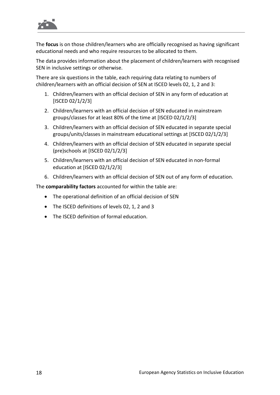

The **focus** is on those children/learners who are officially recognised as having significant educational needs and who require resources to be allocated to them.

The data provides information about the placement of children/learners with recognised SEN in inclusive settings or otherwise.

There are six questions in the table, each requiring data relating to numbers of children/learners with an official decision of SEN at ISCED levels 02, 1, 2 and 3:

- 1. Children/learners with an official decision of SEN in any form of education at [ISCED 02/1/2/3]
- 2. Children/learners with an official decision of SEN educated in mainstream groups/classes for at least 80% of the time at [ISCED 02/1/2/3]
- 3. Children/learners with an official decision of SEN educated in separate special groups/units/classes in mainstream educational settings at [ISCED 02/1/2/3]
- 4. Children/learners with an official decision of SEN educated in separate special (pre)schools at [ISCED 02/1/2/3]
- 5. Children/learners with an official decision of SEN educated in non-formal education at [ISCED 02/1/2/3]
- 6. Children/learners with an official decision of SEN out of any form of education.

The **comparability factors** accounted for within the table are:

- The operational definition of an official decision of SEN
- The ISCED definitions of levels 02, 1, 2 and 3
- The ISCED definition of formal education.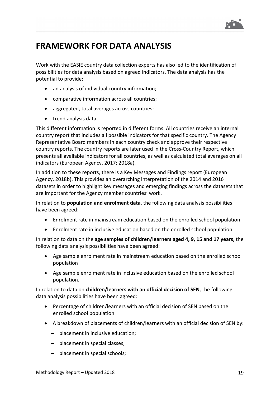

### <span id="page-20-0"></span>**FRAMEWORK FOR DATA ANALYSIS**

Work with the EASIE country data collection experts has also led to the identification of possibilities for data analysis based on agreed indicators. The data analysis has the potential to provide:

- an analysis of individual country information;
- comparative information across all countries;
- aggregated, total averages across countries;
- trend analysis data.

This different information is reported in different forms. All countries receive an internal country report that includes all possible indicators for that specific country. The Agency Representative Board members in each country check and approve their respective country reports. The country reports are later used in the Cross-Country Report, which presents all available indicators for all countries, as well as calculated total averages on all indicators (European Agency, 2017; 2018a).

In addition to these reports, there is a Key Messages and Findings report (European Agency, 2018b). This provides an overarching interpretation of the 2014 and 2016 datasets in order to highlight key messages and emerging findings across the datasets that are important for the Agency member countries' work.

In relation to **population and enrolment data**, the following data analysis possibilities have been agreed:

- Enrolment rate in mainstream education based on the enrolled school population
- Enrolment rate in inclusive education based on the enrolled school population.

In relation to data on the **age samples of children/learners aged 4, 9, 15 and 17 years**, the following data analysis possibilities have been agreed:

- Age sample enrolment rate in mainstream education based on the enrolled school population
- Age sample enrolment rate in inclusive education based on the enrolled school population.

In relation to data on **children/learners with an official decision of SEN**, the following data analysis possibilities have been agreed:

- Percentage of children/learners with an official decision of SEN based on the enrolled school population
- A breakdown of placements of children/learners with an official decision of SEN by:
	- − placement in inclusive education;
	- − placement in special classes;
	- − placement in special schools;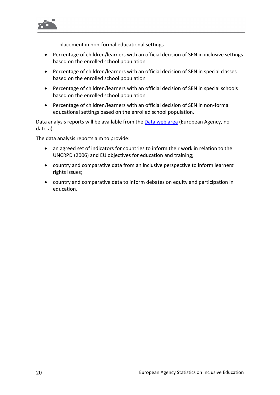

- − placement in non-formal educational settings
- Percentage of children/learners with an official decision of SEN in inclusive settings based on the enrolled school population
- Percentage of children/learners with an official decision of SEN in special classes based on the enrolled school population
- Percentage of children/learners with an official decision of SEN in special schools based on the enrolled school population
- Percentage of children/learners with an official decision of SEN in non-formal educational settings based on the enrolled school population.

Data analysis reports will be available from the **Data web area** (European Agency, no date-a).

The data analysis reports aim to provide:

- an agreed set of indicators for countries to inform their work in relation to the UNCRPD (2006) and EU objectives for education and training;
- country and comparative data from an inclusive perspective to inform learners' rights issues;
- country and comparative data to inform debates on equity and participation in education.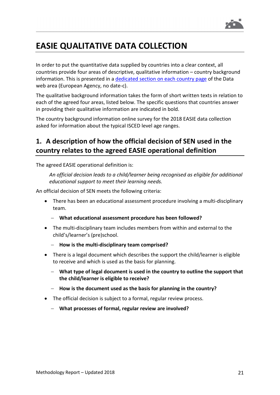

### <span id="page-22-0"></span>**EASIE QUALITATIVE DATA COLLECTION**

In order to put the quantitative data supplied by countries into a clear context, all countries provide four areas of descriptive, qualitative information – country background information. This is presented in a [dedicated section on each country page](http://www.european-agency.org/data/country-data-and-background-information) of the Data web area (European Agency, no date-c).

The qualitative background information takes the form of short written texts in relation to each of the agreed four areas, listed below. The specific questions that countries answer in providing their qualitative information are indicated in bold.

The country background information online survey for the 2018 EASIE data collection asked for information about the typical ISCED level age ranges.

### **1. A description of how the official decision of SEN used in the country relates to the agreed EASIE operational definition**

The agreed EASIE operational definition is:

*An official decision leads to a child/learner being recognised as eligible for additional educational support to meet their learning needs.*

An official decision of SEN meets the following criteria:

- There has been an educational assessment procedure involving a multi-disciplinary team.
	- − **What educational assessment procedure has been followed?**
- The multi-disciplinary team includes members from within and external to the child's/learner's (pre)school.
	- − **How is the multi-disciplinary team comprised?**
- There is a legal document which describes the support the child/learner is eligible to receive and which is used as the basis for planning.
	- − **What type of legal document is used in the country to outline the support that the child/learner is eligible to receive?**
	- − **How is the document used as the basis for planning in the country?**
- The official decision is subject to a formal, regular review process.
	- − **What processes of formal, regular review are involved?**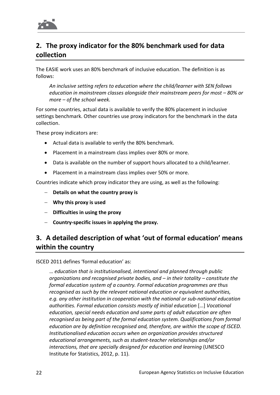

### **2. The proxy indicator for the 80% benchmark used for data collection**

The EASIE work uses an 80% benchmark of inclusive education. The definition is as follows:

*An inclusive setting refers to education where the child/learner with SEN follows education in mainstream classes alongside their mainstream peers for most – 80% or more – of the school week.*

For some countries, actual data is available to verify the 80% placement in inclusive settings benchmark. Other countries use proxy indicators for the benchmark in the data collection.

These proxy indicators are:

- Actual data is available to verify the 80% benchmark.
- Placement in a mainstream class implies over 80% or more.
- Data is available on the number of support hours allocated to a child/learner.
- Placement in a mainstream class implies over 50% or more.

Countries indicate which proxy indicator they are using, as well as the following:

- − **Details on what the country proxy is**
- − **Why this proxy is used**
- − **Difficulties in using the proxy**
- − **Country-specific issues in applying the proxy.**

### **3. A detailed description of what 'out of formal education' means within the country**

ISCED 2011 defines 'formal education' as:

… *education that is institutionalised, intentional and planned through public organizations and recognised private bodies, and – in their totality – constitute the formal education system of a country. Formal education programmes are thus recognised as such by the relevant national education or equivalent authorities, e.g. any other institution in cooperation with the national or sub-national education authorities. Formal education consists mostly of initial education* […] *Vocational education, special needs education and some parts of adult education are often recognised as being part of the formal education system. Qualifications from formal education are by definition recognised and, therefore, are within the scope of ISCED. Institutionalised education occurs when an organization provides structured educational arrangements, such as student-teacher relationships and/or interactions, that are specially designed for education and learning* (UNESCO Institute for Statistics, 2012, p. 11).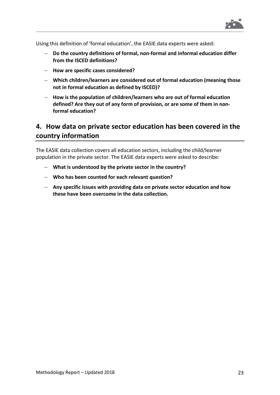

Using this definition of 'formal education', the EASIE data experts were asked:

- − **Do the country definitions of formal, non-formal and informal education differ from the ISCED definitions?**
- − **How are specific cases considered?**
- − **Which children/learners are considered out of formal education (meaning those not in formal education as defined by ISCED)?**
- − **How is the population of children/learners who are out of formal education defined? Are they out of any form of provision, or are some of them in nonformal education?**

### **4. How data on private sector education has been covered in the country information**

The EASIE data collection covers all education sectors, including the child/learner population in the private sector. The EASIE data experts were asked to describe:

- − **What is understood by the private sector in the country?**
- − **Who has been counted for each relevant question?**
- − **Any specific issues with providing data on private sector education and how these have been overcome in the data collection.**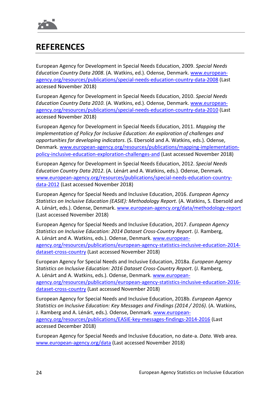

### **REFERENCES**

European Agency for Development in Special Needs Education, 2009. *Special Needs Education Country Data 2008*. (A. Watkins, ed.). Odense, Denmark. [www.european](https://www.european-agency.org/resources/publications/special-needs-education-country-data-2008)[agency.org/resources/publications/special-needs-education-country-data-2008](https://www.european-agency.org/resources/publications/special-needs-education-country-data-2008) (Last accessed November 2018)

European Agency for Development in Special Needs Education, 2010. *Special Needs Education Country Data 2010*. (A. Watkins, ed.). Odense, Denmark. [www.european](https://www.european-agency.org/resources/publications/special-needs-education-country-data-2010)[agency.org/resources/publications/special-needs-education-country-data-2010](https://www.european-agency.org/resources/publications/special-needs-education-country-data-2010) (Last accessed November 2018)

European Agency for Development in Special Needs Education, 2011. *Mapping the Implementation of Policy for Inclusive Education: An exploration of challenges and opportunities for developing indicators*. (S. Ebersold and A. Watkins, eds.). Odense, Denmark. [www.european-agency.org/resources/publications/mapping-implementation](https://www.european-agency.org/resources/publications/mapping-implementation-policy-inclusive-education-exploration-challenges-and)[policy-inclusive-education-exploration-challenges-and](https://www.european-agency.org/resources/publications/mapping-implementation-policy-inclusive-education-exploration-challenges-and) (Last accessed November 2018)

European Agency for Development in Special Needs Education, 2012. *Special Needs Education Country Data 2012*. (A. Lénárt and A. Watkins, eds.). Odense, Denmark. [www.european-agency.org/resources/publications/special-needs-education-country](https://www.european-agency.org/resources/publications/special-needs-education-country-data-2012)[data-2012](https://www.european-agency.org/resources/publications/special-needs-education-country-data-2012) (Last accessed November 2018)

European Agency for Special Needs and Inclusive Education, 2016. *European Agency Statistics on Inclusive Education (EASIE): Methodology Report*. (A. Watkins, S. Ebersold and A. Lénárt, eds.). Odense, Denmark. [www.european-agency.org/data/methodology-report](https://www.european-agency.org/data/methodology-report) (Last accessed November 2018)

European Agency for Special Needs and Inclusive Education, 2017. *European Agency Statistics on Inclusive Education: 2014 Dataset Cross-Country Report*. (J. Ramberg, A. Lénárt and A. Watkins, eds.). Odense, Denmark. [www.european](https://www.european-agency.org/resources/publications/european-agency-statistics-inclusive-education-2014-dataset-cross-country)[agency.org/resources/publications/european-agency-statistics-inclusive-education-2014](https://www.european-agency.org/resources/publications/european-agency-statistics-inclusive-education-2014-dataset-cross-country) [dataset-cross-country](https://www.european-agency.org/resources/publications/european-agency-statistics-inclusive-education-2014-dataset-cross-country) (Last accessed November 2018)

European Agency for Special Needs and Inclusive Education, 2018a. *European Agency Statistics on Inclusive Education: 2016 Dataset Cross-Country Report*. (J. Ramberg, A. Lénárt and A. Watkins, eds.). Odense, Denmark. [www.european](https://www.european-agency.org/resources/publications/european-agency-statistics-inclusive-education-2016-dataset-cross-country)[agency.org/resources/publications/european-agency-statistics-inclusive-education-2016](https://www.european-agency.org/resources/publications/european-agency-statistics-inclusive-education-2016-dataset-cross-country) [dataset-cross-country](https://www.european-agency.org/resources/publications/european-agency-statistics-inclusive-education-2016-dataset-cross-country) (Last accessed November 2018)

European Agency for Special Needs and Inclusive Education, 2018b. *European Agency Statistics on Inclusive Education: Key Messages and Findings (2014 / 2016)*. (A. Watkins, J. Ramberg and A. Lénárt, eds.). Odense, Denmark. [www.european](https://www.european-agency.org/resources/publications/EASIE-key-messages-findings-2014-2016)[agency.org/resources/publications/EASIE-key-messages-findings-2014-2016](https://www.european-agency.org/resources/publications/EASIE-key-messages-findings-2014-2016) (Last accessed December 2018)

European Agency for Special Needs and Inclusive Education, no date-a. *Data*. Web area. [www.european-agency.org/data](https://www.european-agency.org/data) (Last accessed November 2018)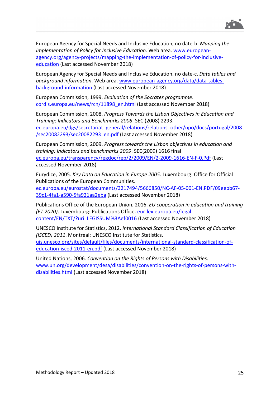

European Agency for Special Needs and Inclusive Education, no date-b. *Mapping the Implementation of Policy for Inclusive Education*. Web area. [www.european](https://www.european-agency.org/agency-projects/mapping-the-implementation-of-policy-for-inclusive-education)[agency.org/agency-projects/mapping-the-implementation-of-policy-for-inclusive](https://www.european-agency.org/agency-projects/mapping-the-implementation-of-policy-for-inclusive-education)[education](https://www.european-agency.org/agency-projects/mapping-the-implementation-of-policy-for-inclusive-education) (Last accessed November 2018)

European Agency for Special Needs and Inclusive Education, no date-c. *Data tables and background information*. Web area. [www.european-agency.org/data/data-tables](https://www.european-agency.org/data/data-tables-background-information)[background-information](https://www.european-agency.org/data/data-tables-background-information) (Last accessed November 2018)

European Commission, 1999. *Evaluation of the Socrates programme*. [cordis.europa.eu/news/rcn/11898\\_en.html](http://cordis.europa.eu/news/rcn/11898_en.html) (Last accessed November 2018)

European Commission, 2008. *Progress Towards the Lisbon Objectives in Education and Training: Indicators and Benchmarks 2008*. SEC (2008) 2293. [ec.europa.eu/dgs/secretariat\\_general/relations/relations\\_other/npo/docs/portugal/2008](http://ec.europa.eu/dgs/secretariat_general/relations/relations_other/npo/docs/portugal/2008/sec20082293/sec20082293_en.pdf) [/sec20082293/sec20082293\\_en.pdf](http://ec.europa.eu/dgs/secretariat_general/relations/relations_other/npo/docs/portugal/2008/sec20082293/sec20082293_en.pdf) (Last accessed November 2018)

European Commission, 2009. *Progress towards the Lisbon objectives in education and training: Indicators and benchmarks 2009*. SEC(2009) 1616 final [ec.europa.eu/transparency/regdoc/rep/2/2009/EN/2-2009-1616-EN-F-0.Pdf](http://ec.europa.eu/transparency/regdoc/rep/2/2009/EN/2-2009-1616-EN-F-0.Pdf) (Last accessed November 2018)

Eurydice, 2005. *Key Data on Education in Europe 2005*. Luxembourg: Office for Official Publications of the European Communities. [ec.europa.eu/eurostat/documents/3217494/5666850/NC-AF-05-001-EN.PDF/09eebb67-](https://ec.europa.eu/eurostat/documents/3217494/5666850/NC-AF-05-001-EN.PDF/09eebb67-39c1-4fa1-a590-5fa921aa2eba) [39c1-4fa1-a590-5fa921aa2eba](https://ec.europa.eu/eurostat/documents/3217494/5666850/NC-AF-05-001-EN.PDF/09eebb67-39c1-4fa1-a590-5fa921aa2eba) (Last accessed November 2018)

Publications Office of the European Union, 2016. *EU cooperation in education and training (ET 2020)*. Luxembourg: Publications Office. [eur-lex.europa.eu/legal](https://eur-lex.europa.eu/legal-content/EN/TXT/?uri=LEGISSUM%3Aef0016)[content/EN/TXT/?uri=LEGISSUM%3Aef0016](https://eur-lex.europa.eu/legal-content/EN/TXT/?uri=LEGISSUM%3Aef0016) (Last accessed November 2018)

UNESCO Institute for Statistics, 2012. *International Standard Classification of Education (ISCED) 2011*. Montreal: UNESCO Institute for Statistics. [uis.unesco.org/sites/default/files/documents/international-standard-classification-of](http://uis.unesco.org/sites/default/files/documents/international-standard-classification-of-education-isced-2011-en.pdf)[education-isced-2011-en.pdf](http://uis.unesco.org/sites/default/files/documents/international-standard-classification-of-education-isced-2011-en.pdf) (Last accessed November 2018)

United Nations, 2006. *Convention on the Rights of Persons with Disabilities*. [www.un.org/development/desa/disabilities/convention-on-the-rights-of-persons-with](https://www.un.org/development/desa/disabilities/convention-on-the-rights-of-persons-with-disabilities.html)[disabilities.html](https://www.un.org/development/desa/disabilities/convention-on-the-rights-of-persons-with-disabilities.html) (Last accessed November 2018)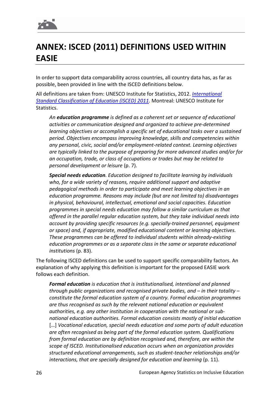

# <span id="page-27-0"></span>**ANNEX: ISCED (2011) DEFINITIONS USED WITHIN EASIE**

In order to support data comparability across countries, all country data has, as far as possible, been provided in line with the ISCED definitions below.

All definitions are taken from: UNESCO Institute for Statistics, 2012. *[International](http://uis.unesco.org/sites/default/files/documents/international-standard-classification-of-education-isced-2011-en.pdf)  [Standard Classification of Education](http://uis.unesco.org/sites/default/files/documents/international-standard-classification-of-education-isced-2011-en.pdf) (ISCED) 2011*. Montreal: UNESCO Institute for Statistics.

*An education programme is defined as a coherent set or sequence of educational activities or communication designed and organized to achieve pre-determined learning objectives or accomplish a specific set of educational tasks over a sustained period. Objectives encompass improving knowledge, skills and competencies within any personal, civic, social and/or employment-related context. Learning objectives are typically linked to the purpose of preparing for more advanced studies and/or for an occupation, trade, or class of occupations or trades but may be related to personal development or leisure* (p. 7).

*Special needs education. Education designed to facilitate learning by individuals who, for a wide variety of reasons, require additional support and adaptive pedagogical methods in order to participate and meet learning objectives in an education programme. Reasons may include (but are not limited to) disadvantages in physical, behavioural, intellectual, emotional and social capacities. Education programmes in special needs education may follow a similar curriculum as that offered in the parallel regular education system, but they take individual needs into account by providing specific resources (e.g. specially-trained personnel, equipment or space) and, if appropriate, modified educational content or learning objectives. These programmes can be offered to individual students within already-existing education programmes or as a separate class in the same or separate educational institutions* (p. 83).

The following ISCED definitions can be used to support specific comparability factors. An explanation of why applying this definition is important for the proposed EASIE work follows each definition.

*Formal education is education that is institutionalised, intentional and planned through public organizations and recognised private bodies, and – in their totality – constitute the formal education system of a country. Formal education programmes are thus recognised as such by the relevant national education or equivalent authorities, e.g. any other institution in cooperation with the national or subnational education authorities. Formal education consists mostly of initial education* [...] *Vocational education, special needs education and some parts of adult education are often recognised as being part of the formal education system. Qualifications from formal education are by definition recognised and, therefore, are within the scope of ISCED. Institutionalised education occurs when an organization provides structured educational arrangements, such as student-teacher relationships and/or interactions, that are specially designed for education and learning (p. 11).*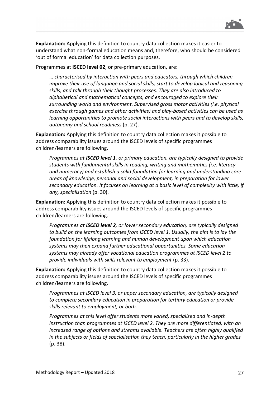

**Explanation:** Applying this definition to country data collection makes it easier to understand what non-formal education means and, therefore, who should be considered 'out of formal education' for data collection purposes.

Programmes at **ISCED level 02**, or pre-primary education, are:

… *characterised by interaction with peers and educators, through which children improve their use of language and social skills, start to develop logical and reasoning skills, and talk through their thought processes. They are also introduced to alphabetical and mathematical concepts, and encouraged to explore their surrounding world and environment. Supervised gross motor activities (i.e. physical exercise through games and other activities) and play-based activities can be used as learning opportunities to promote social interactions with peers and to develop skills, autonomy and school readiness* (p. 27).

**Explanation:** Applying this definition to country data collection makes it possible to address comparability issues around the ISCED levels of specific programmes children/learners are following.

*Programmes at ISCED level 1, or primary education, are typically designed to provide students with fundamental skills in reading, writing and mathematics (i.e. literacy and numeracy) and establish a solid foundation for learning and understanding core areas of knowledge, personal and social development, in preparation for lower secondary education. It focuses on learning at a basic level of complexity with little, if any, specialisation* (p. 30).

**Explanation:** Applying this definition to country data collection makes it possible to address comparability issues around the ISCED levels of specific programmes children/learners are following.

*Programmes at ISCED level 2, or lower secondary education, are typically designed to build on the learning outcomes from ISCED level 1. Usually, the aim is to lay the foundation for lifelong learning and human development upon which education systems may then expand further educational opportunities. Some education systems may already offer vocational education programmes at ISCED level 2 to provide individuals with skills relevant to employment* (p. 33).

**Explanation:** Applying this definition to country data collection makes it possible to address comparability issues around the ISCED levels of specific programmes children/learners are following.

*Programmes at ISCED level 3, or upper secondary education, are typically designed to complete secondary education in preparation for tertiary education or provide skills relevant to employment, or both.*

*Programmes at this level offer students more varied, specialised and in-depth instruction than programmes at ISCED level 2. They are more differentiated, with an increased range of options and streams available. Teachers are often highly qualified in the subjects or fields of specialisation they teach, particularly in the higher grades*  (p. 38).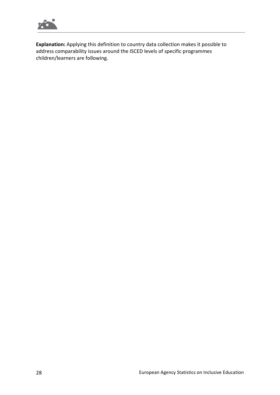

**Explanation:** Applying this definition to country data collection makes it possible to address comparability issues around the ISCED levels of specific programmes children/learners are following.